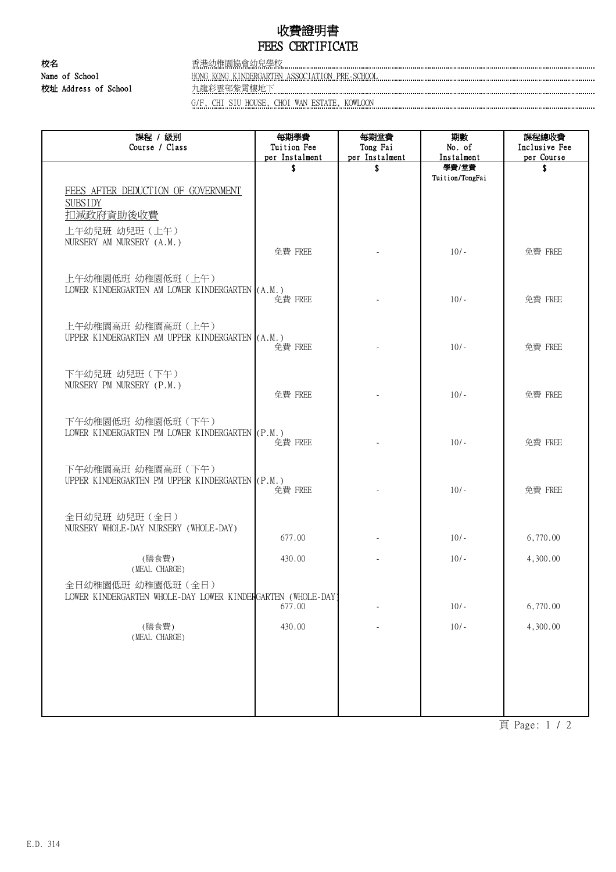## 收費證明書 FEES CERTIFICATE

校名 香港幼稚園協會幼兒學校

Name of School HONG KONG KINDERGARTEN ASSOCIATION PRE-SCHOOL 校址 Address of School 九龍彩雲邨紫霄樓地下

G/F, CHI SIU HOUSE, CHOI WAN ESTATE, KOWLOON

| 課程 / 級別<br>Course / Class                                                                          | 每期學費<br>Tuition Fee<br>per Instalment | 每期堂費<br>Tong Fai<br>per Instalment | 期數<br>No. of<br>Instalment | 課程總收費<br>Inclusive Fee<br>per Course |
|----------------------------------------------------------------------------------------------------|---------------------------------------|------------------------------------|----------------------------|--------------------------------------|
|                                                                                                    | \$                                    | \$                                 | 學費/堂費<br>Tuition/TongFai   | \$                                   |
| FEES AFTER DEDUCTION OF GOVERNMENT<br><b>SUBSIDY</b><br>扣減政府資助後收費<br>上午幼兒班 幼兒班 (上午)                |                                       |                                    |                            |                                      |
| NURSERY AM NURSERY (A.M.)                                                                          | 免費 FREE                               |                                    | $10/-$                     | 免費 FREE                              |
| 上午幼稚園低班 幼稚園低班 (上午)<br>LOWER KINDERGARTEN AM LOWER KINDERGARTEN (A.M.)                              | 免費 FREE                               |                                    | $10/-$                     | 免費 FREE                              |
| 上午幼稚園高班 幼稚園高班 (上午)<br>UPPER KINDERGARTEN AM UPPER KINDERGARTEN (A.M.)                              | 免費 FREE                               |                                    | $10/-$                     | 免費 FREE                              |
| 下午幼兒班 幼兒班 (下午)<br>NURSERY PM NURSERY (P.M.)                                                        | 免費 FREE                               |                                    | $10/-$                     | 免費 FREE                              |
| 下午幼稚園低班 幼稚園低班 (下午)<br>LOWER KINDERGARTEN PM LOWER KINDERGARTEN (P.M.)                              | 免費 FREE                               |                                    | $10/-$                     | 免費 FREE                              |
| 下午幼稚園高班 幼稚園高班 (下午)<br>UPPER KINDERGARTEN PM UPPER KINDERGARTEN (P.M.)                              | 免費 FREE                               |                                    | $10/-$                     | 免費 FREE                              |
| 全日幼兒班 幼兒班 (全日)<br>NURSERY WHOLE-DAY NURSERY (WHOLE-DAY)                                            | 677.00                                |                                    | $10/-$                     | 6,770.00                             |
| (膳食費)                                                                                              | 430.00                                |                                    | $10/-$                     | 4,300.00                             |
| (MEAL CHARGE)<br>全日幼稚園低班 幼稚園低班 (全日)<br>LOWER KINDERGARTEN WHOLE-DAY LOWER KINDERGARTEN (WHOLE-DAY) | 677.00                                |                                    | $10/-$                     | 6,770.00                             |
| (膳食費)<br>(MEAL CHARGE)                                                                             | 430.00                                |                                    | $10/-$                     | 4,300.00                             |
|                                                                                                    |                                       |                                    |                            |                                      |

頁 Page: 1 / 2